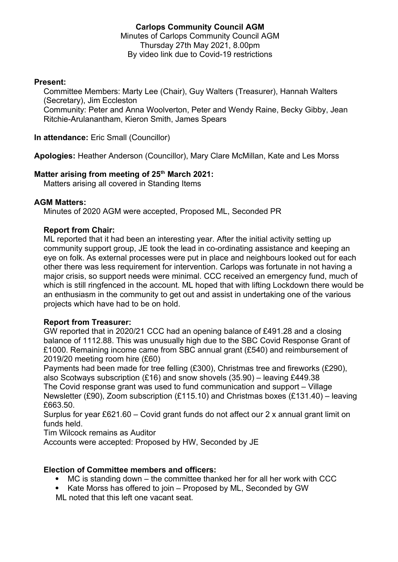## **Carlops Community Council AGM** Minutes of Carlops Community Council AGM Thursday 27th May 2021, 8.00pm By video link due to Covid-19 restrictions

## **Present:**

Committee Members: Marty Lee (Chair), Guy Walters (Treasurer), Hannah Walters (Secretary), Jim Eccleston

Community: Peter and Anna Woolverton, Peter and Wendy Raine, Becky Gibby, Jean Ritchie-Arulanantham, Kieron Smith, James Spears

**In attendance:** Eric Small (Councillor)

**Apologies:** Heather Anderson (Councillor), Mary Clare McMillan, Kate and Les Morss

# **Matter arising from meeting of 25th March 2021:**

Matters arising all covered in Standing Items

#### **AGM Matters:**

Minutes of 2020 AGM were accepted, Proposed ML, Seconded PR

#### **Report from Chair:**

ML reported that it had been an interesting year. After the initial activity setting up community support group, JE took the lead in co-ordinating assistance and keeping an eye on folk. As external processes were put in place and neighbours looked out for each other there was less requirement for intervention. Carlops was fortunate in not having a major crisis, so support needs were minimal. CCC received an emergency fund, much of which is still ringfenced in the account. ML hoped that with lifting Lockdown there would be an enthusiasm in the community to get out and assist in undertaking one of the various projects which have had to be on hold.

#### **Report from Treasurer:**

GW reported that in 2020/21 CCC had an opening balance of £491.28 and a closing balance of 1112.88. This was unusually high due to the SBC Covid Response Grant of £1000. Remaining income came from SBC annual grant (£540) and reimbursement of 2019/20 meeting room hire (£60)

Payments had been made for tree felling (£300), Christmas tree and fireworks (£290), also Scotways subscription (£16) and snow shovels (35.90) – leaving £449.38

The Covid response grant was used to fund communication and support – Village Newsletter (£90), Zoom subscription (£115.10) and Christmas boxes (£131.40) – leaving £663.50.

Surplus for year £621.60 – Covid grant funds do not affect our 2 x annual grant limit on funds held.

Tim Wilcock remains as Auditor

Accounts were accepted: Proposed by HW, Seconded by JE

## **Election of Committee members and officers:**

- MC is standing down the committee thanked her for all her work with CCC
- Kate Morss has offered to join Proposed by ML, Seconded by GW
- ML noted that this left one vacant seat.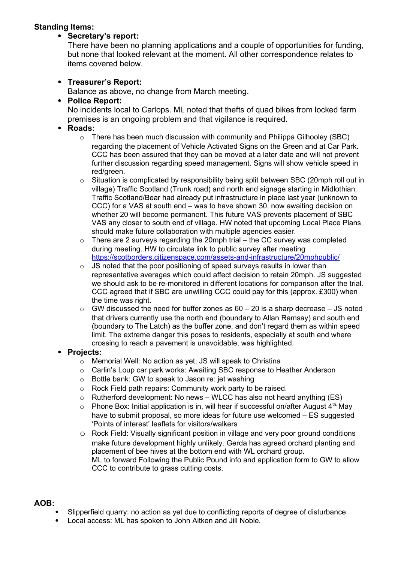# **Standing Items:**

## **Secretary's report:**

There have been no planning applications and a couple of opportunities for funding, but none that looked relevant at the moment. All other correspondence relates to items covered below.

## **Treasurer's Report:**

Balance as above, no change from March meeting.

## **Police Report:**

No incidents local to Carlops. ML noted that thefts of quad bikes from locked farm premises is an ongoing problem and that vigilance is required.

- **Roads:**
	- o There has been much discussion with community and Philippa Gilhooley (SBC) regarding the placement of Vehicle Activated Signs on the Green and at Car Park. CCC has been assured that they can be moved at a later date and will not prevent further discussion regarding speed management. Signs will show vehicle speed in red/areen.
	- o Situation is complicated by responsibility being split between SBC (20mph roll out in village) Traffic Scotland (Trunk road) and north end signage starting in Midlothian. Traffic Scotland/Bear had already put infrastructure in place last year (unknown to CCC) for a VAS at south end – was to have shown 30, now awaiting decision on whether 20 will become permanent. This future VAS prevents placement of SBC VAS any closer to south end of village. HW noted that upcoming Local Place Plans should make future collaboration with multiple agencies easier.
	- $\circ$  There are 2 surveys regarding the 20mph trial the CC survey was completed during meeting. HW to circulate link to public survey after meeting <https://scotborders.citizenspace.com/assets-and-infrastructure/20mphpublic/>
	- $\circ$  JS noted that the poor positioning of speed surveys results in lower than representative averages which could affect decision to retain 20mph. JS suggested we should ask to be re-monitored in different locations for comparison after the trial. CCC agreed that if SBC are unwilling CCC could pay for this (approx. £300) when the time was right.
	- $\circ$  GW discussed the need for buffer zones as 60 20 is a sharp decrease JS noted that drivers currently use the north end (boundary to Allan Ramsay) and south end (boundary to The Latch) as the buffer zone, and don't regard them as within speed limit. The extreme danger this poses to residents, especially at south end where crossing to reach a pavement is unavoidable, was highlighted.

# **Projects:**

- o Memorial Well: No action as yet, JS will speak to Christina
- o Carlin's Loup car park works: Awaiting SBC response to Heather Anderson
- o Bottle bank: GW to speak to Jason re: jet washing
- o Rock Field path repairs: Community work party to be raised.
- $\circ$  Rutherford development: No news WLCC has also not heard anything (ES)
- $\circ$  Phone Box: Initial application is in, will hear if successful on/after August 4<sup>th.</sup> May have to submit proposal, so more ideas for future use welcomed – ES suggested 'Points of interest' leaflets for visitors/walkers
- o Rock Field: Visually significant position in village and very poor ground conditions make future development highly unlikely. Gerda has agreed orchard planting and placement of bee hives at the bottom end with WL orchard group. ML to forward Following the Public Pound info and application form to GW to allow CCC to contribute to grass cutting costs.

## **AOB:**

- Slipperfield quarry: no action as yet due to conflicting reports of degree of disturbance
- Local access: ML has spoken to John Aitken and Jill Noble.